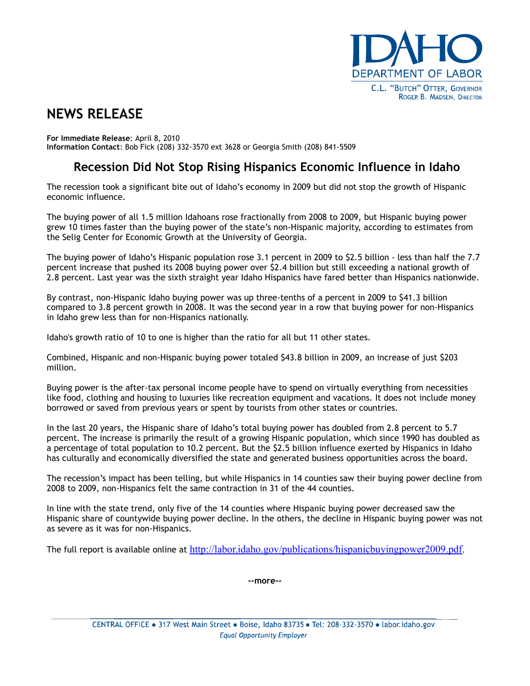

## **NEWS RELEASE**

**For Immediate Release**: April 8, 2010 **Information Contact**: Bob Fick (208) 332-3570 ext 3628 or Georgia Smith (208) 841-5509

## **Recession Did Not Stop Rising Hispanics Economic Influence in Idaho**

The recession took a significant bite out of Idaho's economy in 2009 but did not stop the growth of Hispanic economic influence.

The buying power of all 1.5 million Idahoans rose fractionally from 2008 to 2009, but Hispanic buying power grew 10 times faster than the buying power of the state's non-Hispanic majority, according to estimates from the Selig Center for Economic Growth at the University of Georgia.

The buying power of Idaho's Hispanic population rose 3.1 percent in 2009 to \$2.5 billion - less than half the 7.7 percent increase that pushed its 2008 buying power over \$2.4 billion but still exceeding a national growth of 2.8 percent. Last year was the sixth straight year Idaho Hispanics have fared better than Hispanics nationwide.

By contrast, non-Hispanic Idaho buying power was up three-tenths of a percent in 2009 to \$41.3 billion compared to 3.8 percent growth in 2008. It was the second year in a row that buying power for non-Hispanics in Idaho grew less than for non-Hispanics nationally.

Idaho's growth ratio of 10 to one is higher than the ratio for all but 11 other states.

Combined, Hispanic and non-Hispanic buying power totaled \$43.8 billion in 2009, an increase of just \$203 million.

Buying power is the after-tax personal income people have to spend on virtually everything from necessities like food, clothing and housing to luxuries like recreation equipment and vacations. It does not include money borrowed or saved from previous years or spent by tourists from other states or countries.

In the last 20 years, the Hispanic share of Idaho's total buying power has doubled from 2.8 percent to 5.7 percent. The increase is primarily the result of a growing Hispanic population, which since 1990 has doubled as a percentage of total population to 10.2 percent. But the \$2.5 billion influence exerted by Hispanics in Idaho has culturally and economically diversified the state and generated business opportunities across the board.

The recession's impact has been telling, but while Hispanics in 14 counties saw their buying power decline from 2008 to 2009, non-Hispanics felt the same contraction in 31 of the 44 counties.

In line with the state trend, only five of the 14 counties where Hispanic buying power decreased saw the Hispanic share of countywide buying power decline. In the others, the decline in Hispanic buying power was not as severe as it was for non-Hispanics.

The full report is available online at [http://labor.idaho.gov/publications/hispanicbuyingpower2009.pdf.](http://labor.idaho.gov/publications/hispanicbuyingpower2009.pdf)

**--more--**